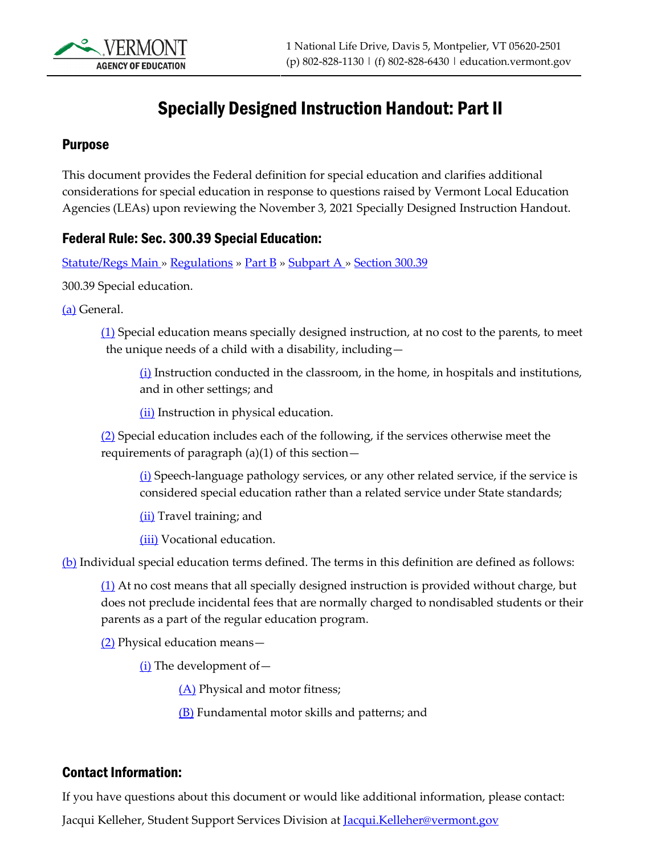

# Specially Designed Instruction Handout: Part II

### Purpose

This document provides the Federal definition for special education and clarifies additional considerations for special education in response to questions raised by Vermont Local Education Agencies (LEAs) upon reviewing the November 3, 2021 Specially Designed Instruction Handout.

### Federal Rule: Sec. 300.39 Special Education:

[Statute/Regs Main](https://sites.ed.gov/idea/statuteregulations/) [» Regulations](https://sites.ed.gov/idea/regs) [» Part B](https://sites.ed.gov/idea/regs/b) » [Subpart A](https://sites.ed.gov/idea/regs/b/a) » [Section 300.39](https://sites.ed.gov/idea/regs/b/a/300.39)

300.39 Special education.

[\(a\)](https://sites.ed.gov/idea/regs/b/a/300.39/a) General.

 $(1)$  Special education means specially designed instruction, at no cost to the parents, to meet the unique needs of a child with a disability, including—

 $(i)$  Instruction conducted in the classroom, in the home, in hospitals and institutions, and in other settings; and

[\(ii\)](https://sites.ed.gov/idea/regs/b/a/300.39/a/1/ii) Instruction in physical education.

 $(2)$  Special education includes each of the following, if the services otherwise meet the requirements of paragraph  $(a)(1)$  of this section  $-$ 

[\(i\)](https://sites.ed.gov/idea/regs/b/a/300.39/a/2/i) Speech-language pathology services, or any other related service, if the service is considered special education rather than a related service under State standards;

[\(ii\)](https://sites.ed.gov/idea/regs/b/a/300.39/a/2/ii) Travel training; and

[\(iii\)](https://sites.ed.gov/idea/regs/b/a/300.39/a/2/iii) Vocational education.

[\(b\)](https://sites.ed.gov/idea/regs/b/a/300.39/b) Individual special education terms defined. The terms in this definition are defined as follows:

 $(1)$  At no cost means that all specially designed instruction is provided without charge, but does not preclude incidental fees that are normally charged to nondisabled students or their parents as a part of the regular education program.

[\(2\)](https://sites.ed.gov/idea/regs/b/a/300.39/b/2) Physical education means—

 $(i)$  The development of  $-$ 

[\(A\)](https://sites.ed.gov/idea/regs/b/a/300.39/b/2/i/a) Physical and motor fitness;

[\(B\)](https://sites.ed.gov/idea/regs/b/a/300.39/b/2/i/b) Fundamental motor skills and patterns; and

#### Contact Information:

If you have questions about this document or would like additional information, please contact:

Jacqui Kelleher, Student Support Services Division at Jacqui.Kelleher@vermont.gov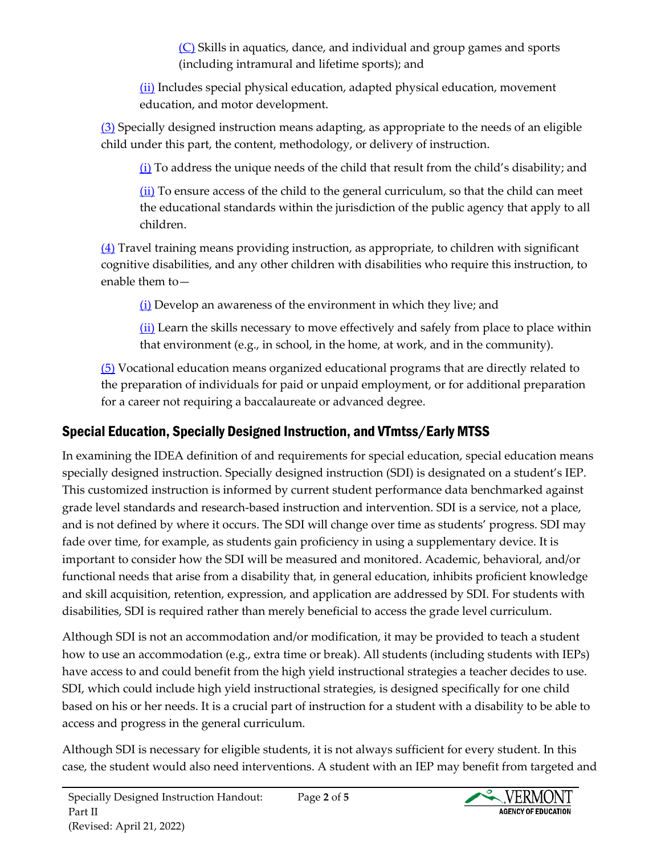[\(C\)](https://sites.ed.gov/idea/regs/b/a/300.39/b/2/i/c) Skills in aquatics, dance, and individual and group games and sports (including intramural and lifetime sports); and

[\(ii\)](https://sites.ed.gov/idea/regs/b/a/300.39/b/2/ii) Includes special physical education, adapted physical education, movement education, and motor development.

[\(3\)](https://sites.ed.gov/idea/regs/b/a/300.39/b/3) Specially designed instruction means adapting, as appropriate to the needs of an eligible child under this part, the content, methodology, or delivery of instruction.

 $(i)$  To address the unique needs of the child that result from the child's disability; and

 $(i)$  To ensure access of the child to the general curriculum, so that the child can meet the educational standards within the jurisdiction of the public agency that apply to all children.

[\(4\)](https://sites.ed.gov/idea/regs/b/a/300.39/b/4) Travel training means providing instruction, as appropriate, to children with significant cognitive disabilities, and any other children with disabilities who require this instruction, to enable them to—

 $(i)$  Develop an awareness of the environment in which they live; and

[\(ii\)](https://sites.ed.gov/idea/regs/b/a/300.39/b/4/ii) Learn the skills necessary to move effectively and safely from place to place within that environment (e.g., in school, in the home, at work, and in the community).

[\(5\)](https://sites.ed.gov/idea/regs/b/a/300.39/b/5) Vocational education means organized educational programs that are directly related to the preparation of individuals for paid or unpaid employment, or for additional preparation for a career not requiring a baccalaureate or advanced degree.

## Special Education, Specially Designed Instruction, and VTmtss/Early MTSS

In examining the IDEA definition of and requirements for special education, special education means specially designed instruction. Specially designed instruction (SDI) is designated on a student's IEP. This customized instruction is informed by current student performance data benchmarked against grade level standards and research-based instruction and intervention. SDI is a service, not a place, and is not defined by where it occurs. The SDI will change over time as students' progress. SDI may fade over time, for example, as students gain proficiency in using a supplementary device. It is important to consider how the SDI will be measured and monitored. Academic, behavioral, and/or functional needs that arise from a disability that, in general education, inhibits proficient knowledge and skill acquisition, retention, expression, and application are addressed by SDI. For students with disabilities, SDI is required rather than merely beneficial to access the grade level curriculum.

Although SDI is not an accommodation and/or modification, it may be provided to teach a student how to use an accommodation (e.g., extra time or break). All students (including students with IEPs) have access to and could benefit from the high yield instructional strategies a teacher decides to use. SDI, which could include high yield instructional strategies, is designed specifically for one child based on his or her needs. It is a crucial part of instruction for a student with a disability to be able to access and progress in the general curriculum.

Although SDI is necessary for eligible students, it is not always sufficient for every student. In this case, the student would also need interventions. A student with an IEP may benefit from targeted and

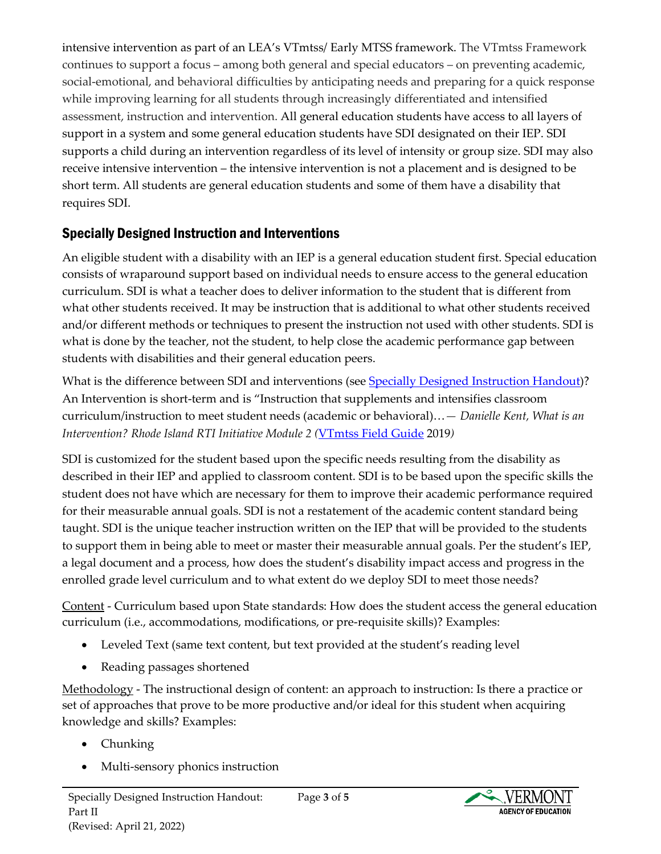intensive intervention as part of an LEA's VTmtss/ Early MTSS framework. The VTmtss Framework continues to support a focus – among both general and special educators – on preventing academic, social-emotional, and behavioral difficulties by anticipating needs and preparing for a quick response while improving learning for all students through increasingly differentiated and intensified assessment, instruction and intervention. All general education students have access to all layers of support in a system and some general education students have SDI designated on their IEP. SDI supports a child during an intervention regardless of its level of intensity or group size. SDI may also receive intensive intervention – the intensive intervention is not a placement and is designed to be short term. All students are general education students and some of them have a disability that requires SDI.

### Specially Designed Instruction and Interventions

An eligible student with a disability with an IEP is a general education student first. Special education consists of wraparound support based on individual needs to ensure access to the general education curriculum. SDI is what a teacher does to deliver information to the student that is different from what other students received. It may be instruction that is additional to what other students received and/or different methods or techniques to present the instruction not used with other students. SDI is what is done by the teacher, not the student, to help close the academic performance gap between students with disabilities and their general education peers.

What is the difference between SDI and interventions (se[e Specially Designed Instruction Handout\)](https://education.vermont.gov/sites/aoe/files/documents/edu-specially-designed-instruction-handout.pdf)? An Intervention is short-term and is "Instruction that supplements and intensifies classroom curriculum/instruction to meet student needs (academic or behavioral)…*— Danielle Kent, What is an Intervention? Rhode Island RTI Initiative Module 2 (*[VTmtss Field Guide](https://education.vermont.gov/sites/aoe/files/documents/edu-vtmtss-field-guide-2019_0.pdf) 2019*)*

SDI is customized for the student based upon the specific needs resulting from the disability as described in their IEP and applied to classroom content. SDI is to be based upon the specific skills the student does not have which are necessary for them to improve their academic performance required for their measurable annual goals. SDI is not a restatement of the academic content standard being taught. SDI is the unique teacher instruction written on the IEP that will be provided to the students to support them in being able to meet or master their measurable annual goals. Per the student's IEP, a legal document and a process, how does the student's disability impact access and progress in the enrolled grade level curriculum and to what extent do we deploy SDI to meet those needs?

Content - Curriculum based upon State standards: How does the student access the general education curriculum (i.e., accommodations, modifications, or pre-requisite skills)? Examples:

- Leveled Text (same text content, but text provided at the student's reading level
- Reading passages shortened

Methodology - The instructional design of content: an approach to instruction: Is there a practice or set of approaches that prove to be more productive and/or ideal for this student when acquiring knowledge and skills? Examples:

- Chunking
- Multi-sensory phonics instruction

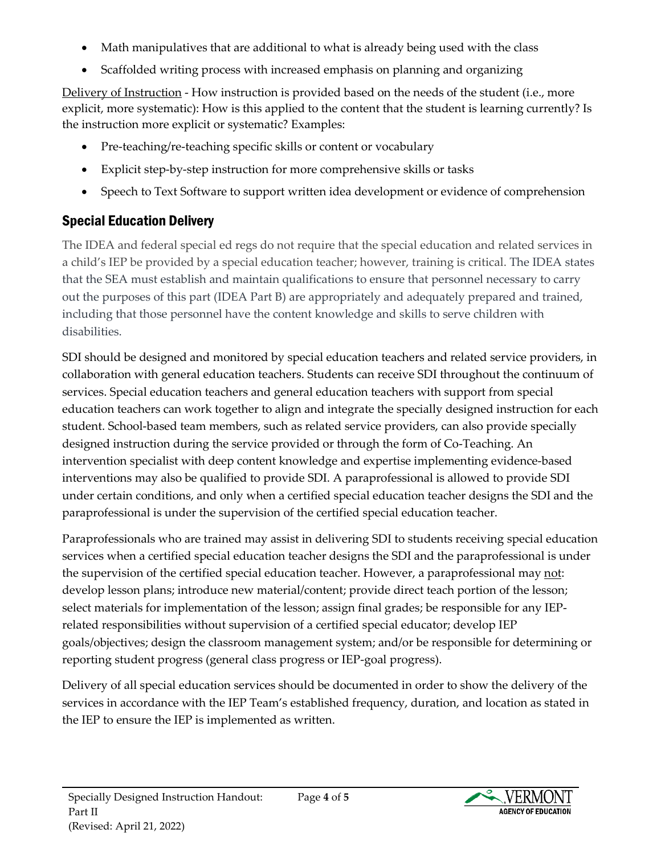- Math manipulatives that are additional to what is already being used with the class
- Scaffolded writing process with increased emphasis on planning and organizing

Delivery of Instruction - How instruction is provided based on the needs of the student (i.e., more explicit, more systematic): How is this applied to the content that the student is learning currently? Is the instruction more explicit or systematic? Examples:

- Pre-teaching/re-teaching specific skills or content or vocabulary
- Explicit step-by-step instruction for more comprehensive skills or tasks
- Speech to Text Software to support written idea development or evidence of comprehension

# Special Education Delivery

The IDEA and federal special ed regs do not require that the special education and related services in a child's IEP be provided by a special education teacher; however, training is critical. The IDEA states that the SEA must establish and maintain qualifications to ensure that personnel necessary to carry out the purposes of this part (IDEA Part B) are appropriately and adequately prepared and trained, including that those personnel have the content knowledge and skills to serve children with disabilities.

SDI should be designed and monitored by special education teachers and related service providers, in collaboration with general education teachers. Students can receive SDI throughout the continuum of services. Special education teachers and general education teachers with support from special education teachers can work together to align and integrate the specially designed instruction for each student. School-based team members, such as related service providers, can also provide specially designed instruction during the service provided or through the form of Co-Teaching. An intervention specialist with deep content knowledge and expertise implementing evidence-based interventions may also be qualified to provide SDI. A paraprofessional is allowed to provide SDI under certain conditions, and only when a certified special education teacher designs the SDI and the paraprofessional is under the supervision of the certified special education teacher.

Paraprofessionals who are trained may assist in delivering SDI to students receiving special education services when a certified special education teacher designs the SDI and the paraprofessional is under the supervision of the certified special education teacher. However, a paraprofessional may not: develop lesson plans; introduce new material/content; provide direct teach portion of the lesson; select materials for implementation of the lesson; assign final grades; be responsible for any IEPrelated responsibilities without supervision of a certified special educator; develop IEP goals/objectives; design the classroom management system; and/or be responsible for determining or reporting student progress (general class progress or IEP-goal progress).

Delivery of all special education services should be documented in order to show the delivery of the services in accordance with the IEP Team's established frequency, duration, and location as stated in the IEP to ensure the IEP is implemented as written.